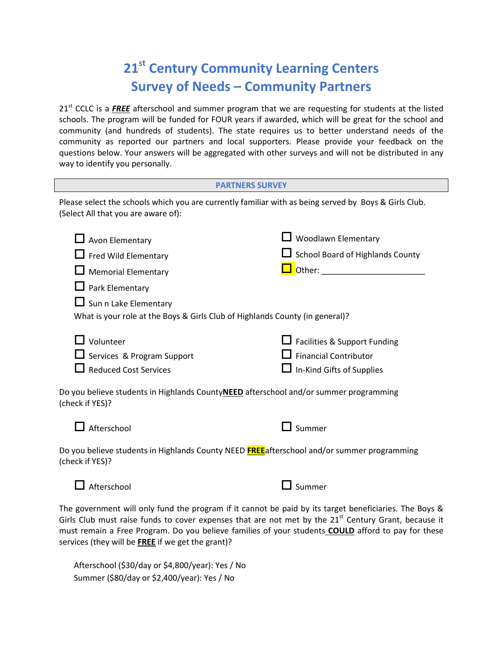## **21st Century Community Learning Centers Survey of Needs – Community Partners**

21<sup>st</sup> CCLC is a FREE afterschool and summer program that we are requesting for students at the listed schools. The program will be funded for FOUR years if awarded, which will be great for the school and community (and hundreds of students). The state requires us to better understand needs of the community as reported our partners and local supporters. Please provide your feedback on the questions below. Your answers will be aggregated with other surveys and will not be distributed in any way to identify you personally.

| <b>PARTNERS SURVEY</b>                                                                                                                                                                                                 |                                                                                           |  |  |  |  |
|------------------------------------------------------------------------------------------------------------------------------------------------------------------------------------------------------------------------|-------------------------------------------------------------------------------------------|--|--|--|--|
| Please select the schools which you are currently familiar with as being served by Boys & Girls Club.<br>(Select All that you are aware of):                                                                           |                                                                                           |  |  |  |  |
| $\Box$ Avon Elementary<br>$\Box$ Fred Wild Elementary<br><b>Memorial Elementary</b><br>Park Elementary<br>$\Box$ Sun n Lake Elementary<br>What is your role at the Boys & Girls Club of Highlands County (in general)? | Woodlawn Elementary<br>School Board of Highlands County<br>Other: ___________             |  |  |  |  |
| $\mathsf{\mathsf{J}}$ Volunteer<br>Services & Program Support<br><b>Reduced Cost Services</b><br>Do you believe students in Highlands CountyNEED afterschool and/or summer programming                                 | Facilities & Support Funding<br><b>Financial Contributor</b><br>In-Kind Gifts of Supplies |  |  |  |  |
| (check if YES)?<br>Afterschool                                                                                                                                                                                         | Summer                                                                                    |  |  |  |  |

Do you believe students in Highlands County NEED **FREE**afterschool and/or summer programming (check if YES)?



The government will only fund the program if it cannot be paid by its target beneficiaries. The Boys & Girls Club must raise funds to cover expenses that are not met by the  $21<sup>st</sup>$  Century Grant, because it must remain a Free Program. Do you believe families of your students **COULD** afford to pay for these services (they will be **FREE** if we get the grant)?

Afterschool (\$30/day or \$4,800/year): Yes / No Summer (\$80/day or \$2,400/year): Yes / No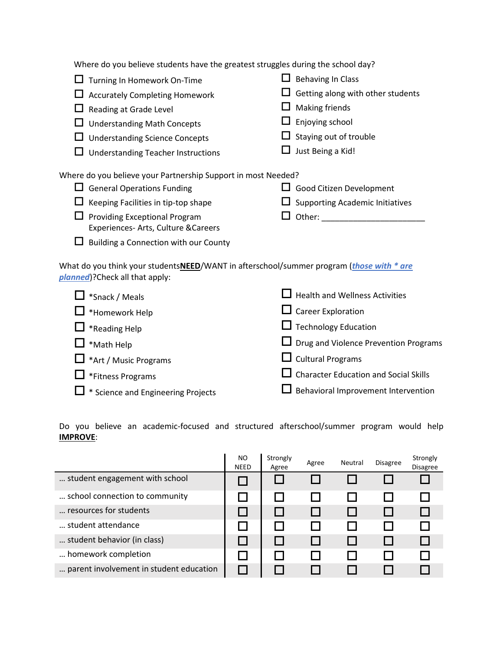Where do you believe students have the greatest struggles during the school day?  $\Box$  Turning In Homework On-Time  $\Box$  Accurately Completing Homework  $\Box$  Reading at Grade Level  $\Box$  Understanding Math Concepts □ Understanding Science Concepts  $\Box$  Understanding Teacher Instructions  $\Box$  Behaving In Class  $\Box$  Getting along with other students  $\Box$  Making friends  $\Box$  Enjoying school  $\Box$  Staying out of trouble  $\Box$  Just Being a Kid! Where do you believe your Partnership Support in most Needed?  $\Box$  General Operations Funding  $\Box$  Keeping Facilities in tip-top shape  $\Box$  Providing Exceptional Program Experiences- Arts, Culture &Careers  $\Box$  Building a Connection with our County  $\Box$  Good Citizen Development  $\square$  Supporting Academic Initiatives  $\Box$  Other: What do you think your students**NEED**/WANT in afterschool/summer program (*those with \* are planned*)?Check all that apply:

| $\Box$ *Snack / Meals                     | $\Box$ Health and Wellness Activities        |
|-------------------------------------------|----------------------------------------------|
| $\Box$ *Homework Help                     | $\Box$ Career Exploration                    |
| $\Box$ *Reading Help                      | $\Box$ Technology Education                  |
| $\Box$ *Math Help                         | $\Box$ Drug and Violence Prevention Programs |
| $\Box$ *Art / Music Programs              | $\Box$ Cultural Programs                     |
| $\Box$ *Fitness Programs                  | $\Box$ Character Education and Social Skills |
| $\Box$ * Science and Engineering Projects | $\Box$ Behavioral Improvement Intervention   |

Do you believe an academic-focused and structured afterschool/summer program would help **IMPROVE**:

|                                         | NO.<br><b>NEED</b> | Strongly<br>Agree | Agree | Neutral | <b>Disagree</b> | Strongly<br>Disagree |
|-----------------------------------------|--------------------|-------------------|-------|---------|-----------------|----------------------|
| student engagement with school          |                    |                   |       |         |                 |                      |
| school connection to community          |                    |                   |       |         |                 |                      |
| resources for students                  |                    |                   |       |         |                 |                      |
| student attendance                      |                    |                   |       |         |                 |                      |
| student behavior (in class)             |                    |                   |       |         |                 |                      |
| homework completion                     |                    |                   |       |         |                 |                      |
| parent involvement in student education |                    |                   |       |         |                 |                      |